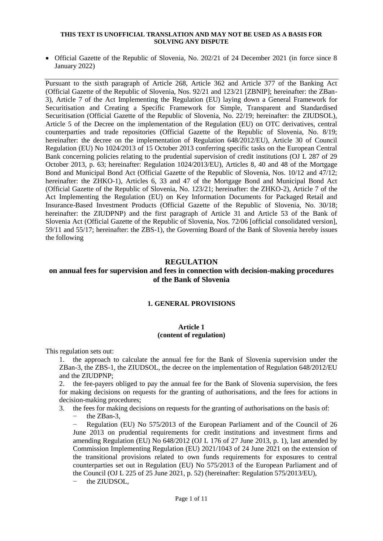#### **THIS TEXT IS UNOFFICIAL TRANSLATION AND MAY NOT BE USED AS A BASIS FOR SOLVING ANY DISPUTE**

• Official Gazette of the Republic of Slovenia, No. 202/21 of 24 December 2021 (in force since 8 January 2022)

Pursuant to the sixth paragraph of Article 268, Article 362 and Article 377 of the Banking Act (Official Gazette of the Republic of Slovenia, Nos. 92/21 and 123/21 [ZBNIP]; hereinafter: the ZBan-3), Article 7 of the Act Implementing the Regulation (EU) laying down a General Framework for Securitisation and Creating a Specific Framework for Simple, Transparent and Standardised Securitisation (Official Gazette of the Republic of Slovenia, No. 22/19; hereinafter: the ZIUDSOL), Article 5 of the Decree on the implementation of the Regulation (EU) on OTC derivatives, central counterparties and trade repositories (Official Gazette of the Republic of Slovenia, No. 8/19; hereinafter: the decree on the implementation of Regulation 648/2012/EU), Article 30 of Council Regulation (EU) No 1024/2013 of 15 October 2013 conferring specific tasks on the European Central Bank concerning policies relating to the prudential supervision of credit institutions (OJ L 287 of 29 October 2013, p. 63; hereinafter: Regulation 1024/2013/EU), Articles 8, 40 and 48 of the Mortgage Bond and Municipal Bond Act (Official Gazette of the Republic of Slovenia, Nos. 10/12 and 47/12; hereinafter: the ZHKO-1), Articles 6, 33 and 47 of the Mortgage Bond and Municipal Bond Act (Official Gazette of the Republic of Slovenia, No. 123/21; hereinafter: the ZHKO-2), Article 7 of the Act Implementing the Regulation (EU) on Key Information Documents for Packaged Retail and Insurance-Based Investment Products (Official Gazette of the Republic of Slovenia, No. 30/18; hereinafter: the ZIUDPNP) and the first paragraph of Article 31 and Article 53 of the Bank of Slovenia Act (Official Gazette of the Republic of Slovenia, Nos. 72/06 [official consolidated version], 59/11 and 55/17; hereinafter: the ZBS-1), the Governing Board of the Bank of Slovenia hereby issues the following

# **REGULATION**

# **on annual fees for supervision and fees in connection with decision-making procedures of the Bank of Slovenia**

# **1. GENERAL PROVISIONS**

# **Article 1 (content of regulation)**

This regulation sets out:

1. the approach to calculate the annual fee for the Bank of Slovenia supervision under the ZBan-3, the ZBS-1, the ZIUDSOL, the decree on the implementation of Regulation 648/2012/EU and the ZIUDPNP;

2. the fee-payers obliged to pay the annual fee for the Bank of Slovenia supervision, the fees for making decisions on requests for the granting of authorisations, and the fees for actions in decision-making procedures;

3. the fees for making decisions on requests for the granting of authorisations on the basis of:

− the ZBan-3,

− Regulation (EU) No 575/2013 of the European Parliament and of the Council of 26 June 2013 on prudential requirements for credit institutions and investment firms and amending Regulation (EU)  $N_0$  648/2012 (OJ L 176 of 27 June 2013, p. 1), last amended by Commission Implementing Regulation (EU) 2021/1043 of 24 June 2021 on the extension of the transitional provisions related to own funds requirements for exposures to central counterparties set out in Regulation (EU) No 575/2013 of the European Parliament and of the Council (OJ L 225 of 25 June 2021, p. 52) (hereinafter: Regulation 575/2013/EU),

− the ZIUDSOL,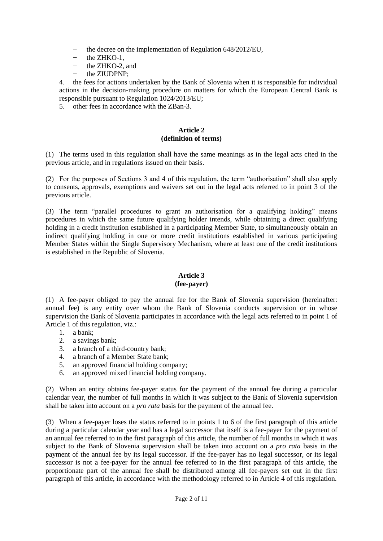- the decree on the implementation of Regulation 648/2012/EU,
- the ZHKO-1.
- − the ZHKO-2, and
- − the ZIUDPNP;

4. the fees for actions undertaken by the Bank of Slovenia when it is responsible for individual actions in the decision-making procedure on matters for which the European Central Bank is responsible pursuant to Regulation 1024/2013/EU;

5. other fees in accordance with the ZBan-3.

### **Article 2 (definition of terms)**

(1) The terms used in this regulation shall have the same meanings as in the legal acts cited in the previous article, and in regulations issued on their basis.

(2) For the purposes of Sections 3 and 4 of this regulation, the term "authorisation" shall also apply to consents, approvals, exemptions and waivers set out in the legal acts referred to in point 3 of the previous article.

(3) The term "parallel procedures to grant an authorisation for a qualifying holding" means procedures in which the same future qualifying holder intends, while obtaining a direct qualifying holding in a credit institution established in a participating Member State, to simultaneously obtain an indirect qualifying holding in one or more credit institutions established in various participating Member States within the Single Supervisory Mechanism, where at least one of the credit institutions is established in the Republic of Slovenia.

# **Article 3**

# **(fee-payer)**

(1) A fee-payer obliged to pay the annual fee for the Bank of Slovenia supervision (hereinafter: annual fee) is any entity over whom the Bank of Slovenia conducts supervision or in whose supervision the Bank of Slovenia participates in accordance with the legal acts referred to in point 1 of Article 1 of this regulation, viz.:

- 1. a bank;
- 2. a savings bank;
- 3. a branch of a third-country bank;
- 4. a branch of a Member State bank;
- 5. an approved financial holding company;
- 6. an approved mixed financial holding company.

(2) When an entity obtains fee-payer status for the payment of the annual fee during a particular calendar year, the number of full months in which it was subject to the Bank of Slovenia supervision shall be taken into account on a *pro rata* basis for the payment of the annual fee.

(3) When a fee-payer loses the status referred to in points 1 to 6 of the first paragraph of this article during a particular calendar year and has a legal successor that itself is a fee-payer for the payment of an annual fee referred to in the first paragraph of this article, the number of full months in which it was subject to the Bank of Slovenia supervision shall be taken into account on a *pro rata* basis in the payment of the annual fee by its legal successor. If the fee-payer has no legal successor, or its legal successor is not a fee-payer for the annual fee referred to in the first paragraph of this article, the proportionate part of the annual fee shall be distributed among all fee-payers set out in the first paragraph of this article, in accordance with the methodology referred to in Article 4 of this regulation.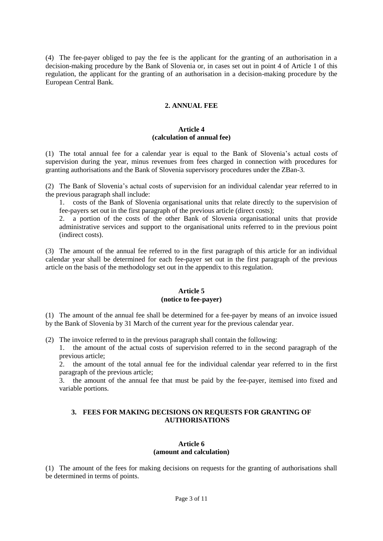(4) The fee-payer obliged to pay the fee is the applicant for the granting of an authorisation in a decision-making procedure by the Bank of Slovenia or, in cases set out in point 4 of Article 1 of this regulation, the applicant for the granting of an authorisation in a decision-making procedure by the European Central Bank.

# **2. ANNUAL FEE**

# **Article 4 (calculation of annual fee)**

(1) The total annual fee for a calendar year is equal to the Bank of Slovenia's actual costs of supervision during the year, minus revenues from fees charged in connection with procedures for granting authorisations and the Bank of Slovenia supervisory procedures under the ZBan-3.

(2) The Bank of Slovenia's actual costs of supervision for an individual calendar year referred to in the previous paragraph shall include:

1. costs of the Bank of Slovenia organisational units that relate directly to the supervision of fee-payers set out in the first paragraph of the previous article (direct costs);

2. a portion of the costs of the other Bank of Slovenia organisational units that provide administrative services and support to the organisational units referred to in the previous point (indirect costs).

(3) The amount of the annual fee referred to in the first paragraph of this article for an individual calendar year shall be determined for each fee-payer set out in the first paragraph of the previous article on the basis of the methodology set out in the appendix to this regulation.

# **Article 5 (notice to fee-payer)**

(1) The amount of the annual fee shall be determined for a fee-payer by means of an invoice issued by the Bank of Slovenia by 31 March of the current year for the previous calendar year.

(2) The invoice referred to in the previous paragraph shall contain the following:

1. the amount of the actual costs of supervision referred to in the second paragraph of the previous article;

2. the amount of the total annual fee for the individual calendar year referred to in the first paragraph of the previous article;

3. the amount of the annual fee that must be paid by the fee-payer, itemised into fixed and variable portions.

# **3. FEES FOR MAKING DECISIONS ON REQUESTS FOR GRANTING OF AUTHORISATIONS**

# **Article 6 (amount and calculation)**

(1) The amount of the fees for making decisions on requests for the granting of authorisations shall be determined in terms of points.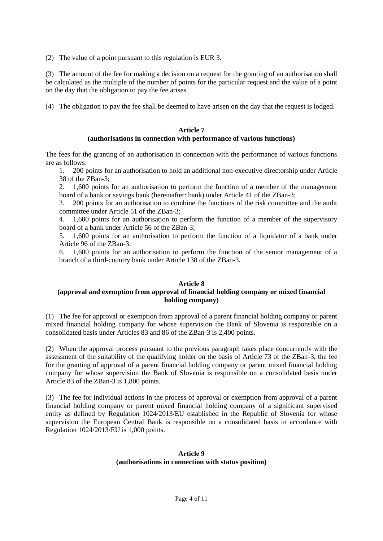(2) The value of a point pursuant to this regulation is EUR 3.

(3) The amount of the fee for making a decision on a request for the granting of an authorisation shall be calculated as the multiple of the number of points for the particular request and the value of a point on the day that the obligation to pay the fee arises.

(4) The obligation to pay the fee shall be deemed to have arisen on the day that the request is lodged.

# **Article 7**

# **(authorisations in connection with performance of various functions)**

The fees for the granting of an authorisation in connection with the performance of various functions are as follows:

1. 200 points for an authorisation to hold an additional non-executive directorship under Article 38 of the ZBan-3;

2. 1,600 points for an authorisation to perform the function of a member of the management board of a bank or savings bank (hereinafter: bank) under Article 41 of the ZBan-3;

3. 200 points for an authorisation to combine the functions of the risk committee and the audit committee under Article 51 of the ZBan-3;

4. 1,600 points for an authorisation to perform the function of a member of the supervisory board of a bank under Article 56 of the ZBan-3;

5. 1,600 points for an authorisation to perform the function of a liquidator of a bank under Article 96 of the ZBan-3;

6. 1,600 points for an authorisation to perform the function of the senior management of a branch of a third-country bank under Article 138 of the ZBan-3.

# **Article 8**

# **(approval and exemption from approval of financial holding company or mixed financial holding company)**

(1) The fee for approval or exemption from approval of a parent financial holding company or parent mixed financial holding company for whose supervision the Bank of Slovenia is responsible on a consolidated basis under Articles 83 and 86 of the ZBan-3 is 2,400 points.

(2) When the approval process pursuant to the previous paragraph takes place concurrently with the assessment of the suitability of the qualifying holder on the basis of Article 73 of the ZBan-3, the fee for the granting of approval of a parent financial holding company or parent mixed financial holding company for whose supervision the Bank of Slovenia is responsible on a consolidated basis under Article 83 of the ZBan-3 is 1,800 points.

(3) The fee for individual actions in the process of approval or exemption from approval of a parent financial holding company or parent mixed financial holding company of a significant supervised entity as defined by Regulation 1024/2013/EU established in the Republic of Slovenia for whose supervision the European Central Bank is responsible on a consolidated basis in accordance with Regulation 1024/2013/EU is 1,000 points.

# **Article 9 (authorisations in connection with status position)**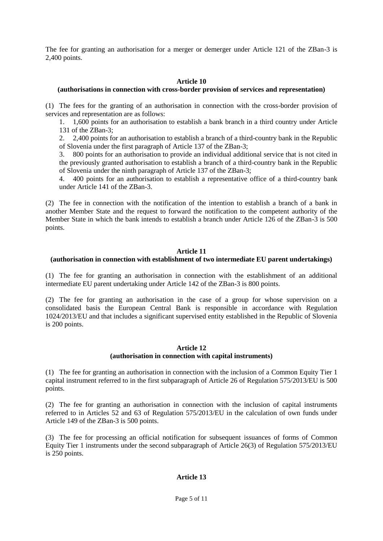The fee for granting an authorisation for a merger or demerger under Article 121 of the ZBan-3 is 2,400 points.

# **Article 10**

# **(authorisations in connection with cross-border provision of services and representation)**

(1) The fees for the granting of an authorisation in connection with the cross-border provision of services and representation are as follows:

1. 1,600 points for an authorisation to establish a bank branch in a third country under Article 131 of the ZBan-3;

2. 2,400 points for an authorisation to establish a branch of a third-country bank in the Republic of Slovenia under the first paragraph of Article 137 of the ZBan-3;

3. 800 points for an authorisation to provide an individual additional service that is not cited in the previously granted authorisation to establish a branch of a third-country bank in the Republic of Slovenia under the ninth paragraph of Article 137 of the ZBan-3;

4. 400 points for an authorisation to establish a representative office of a third-country bank under Article 141 of the ZBan-3.

(2) The fee in connection with the notification of the intention to establish a branch of a bank in another Member State and the request to forward the notification to the competent authority of the Member State in which the bank intends to establish a branch under Article 126 of the ZBan-3 is 500 points.

# **Article 11**

# **(authorisation in connection with establishment of two intermediate EU parent undertakings)**

(1) The fee for granting an authorisation in connection with the establishment of an additional intermediate EU parent undertaking under Article 142 of the ZBan-3 is 800 points.

(2) The fee for granting an authorisation in the case of a group for whose supervision on a consolidated basis the European Central Bank is responsible in accordance with Regulation 1024/2013/EU and that includes a significant supervised entity established in the Republic of Slovenia is 200 points.

# **Article 12 (authorisation in connection with capital instruments)**

(1) The fee for granting an authorisation in connection with the inclusion of a Common Equity Tier 1 capital instrument referred to in the first subparagraph of Article 26 of Regulation 575/2013/EU is 500 points.

(2) The fee for granting an authorisation in connection with the inclusion of capital instruments referred to in Articles 52 and 63 of Regulation 575/2013/EU in the calculation of own funds under Article 149 of the ZBan-3 is 500 points.

(3) The fee for processing an official notification for subsequent issuances of forms of Common Equity Tier 1 instruments under the second subparagraph of Article 26(3) of Regulation 575/2013/EU is 250 points.

# **Article 13**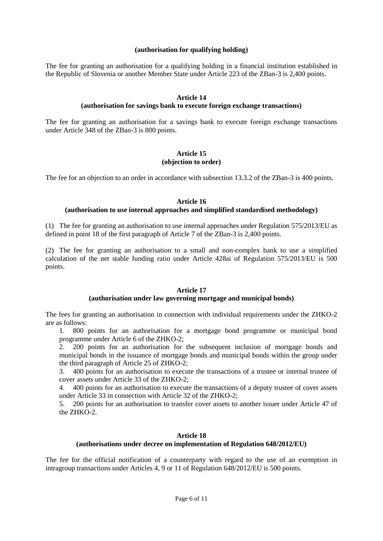#### **(authorisation for qualifying holding)**

The fee for granting an authorisation for a qualifying holding in a financial institution established in the Republic of Slovenia or another Member State under Article 223 of the ZBan-3 is 2,400 points.

#### **Article 14**

#### **(authorisation for savings bank to execute foreign exchange transactions)**

The fee for granting an authorisation for a savings bank to execute foreign exchange transactions under Article 348 of the ZBan-3 is 800 points.

#### **Article 15 (objection to order)**

The fee for an objection to an order in accordance with subsection 13.3.2 of the ZBan-3 is 400 points.

#### **Article 16 (authorisation to use internal approaches and simplified standardised methodology)**

(1) The fee for granting an authorisation to use internal approaches under Regulation 575/2013/EU as defined in point 18 of the first paragraph of Article 7 of the ZBan-3 is 2,400 points.

(2) The fee for granting an authorisation to a small and non-complex bank to use a simplified calculation of the net stable funding ratio under Article 428ai of Regulation 575/2013/EU is 500 points.

#### **Article 17**

#### **(authorisation under law governing mortgage and municipal bonds)**

The fees for granting an authorisation in connection with individual requirements under the ZHKO-2 are as follows:

1. 800 points for an authorisation for a mortgage bond programme or municipal bond programme under Article 6 of the ZHKO-2;

2. 200 points for an authorisation for the subsequent inclusion of mortgage bonds and municipal bonds in the issuance of mortgage bonds and municipal bonds within the group under the third paragraph of Article 25 of ZHKO-2;

3. 400 points for an authorisation to execute the transactions of a trustee or internal trustee of cover assets under Article 33 of the ZHKO-2;

4. 400 points for an authorisation to execute the transactions of a deputy trustee of cover assets under Article 33 in connection with Article 32 of the ZHKO-2;

5. 200 points for an authorisation to transfer cover assets to another issuer under Article 47 of the ZHKO-2.

# **Article 18**

#### **(authorisations under decree on implementation of Regulation 648/2012/EU)**

The fee for the official notification of a counterparty with regard to the use of an exemption in intragroup transactions under Articles 4, 9 or 11 of Regulation 648/2012/EU is 500 points.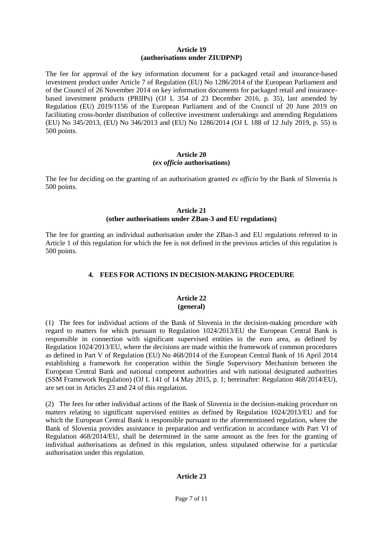#### **Article 19 (authorisations under ZIUDPNP)**

The fee for approval of the key information document for a packaged retail and insurance-based investment product under Article 7 of Regulation (EU) No 1286/2014 of the European Parliament and of the Council of 26 November 2014 on key information documents for packaged retail and insurancebased investment products (PRIIPs) (OJ L 354 of 23 December 2016, p. 35), last amended by Regulation (EU) 2019/1156 of the European Parliament and of the Council of 20 June 2019 on facilitating cross-border distribution of collective investment undertakings and amending Regulations (EU) No 345/2013, (EU) No 346/2013 and (EU) No 1286/2014 (OJ L 188 of 12 July 2019, p. 55) is 500 points.

# **Article 20 (***ex officio* **authorisations)**

The fee for deciding on the granting of an authorisation granted *ex officio* by the Bank of Slovenia is 500 points.

# **Article 21**

# **(other authorisations under ZBan-3 and EU regulations)**

The fee for granting an individual authorisation under the ZBan-3 and EU regulations referred to in Article 1 of this regulation for which the fee is not defined in the previous articles of this regulation is 500 points.

# **4. FEES FOR ACTIONS IN DECISION-MAKING PROCEDURE**

#### **Article 22 (general)**

(1) The fees for individual actions of the Bank of Slovenia in the decision-making procedure with regard to matters for which pursuant to Regulation 1024/2013/EU the European Central Bank is responsible in connection with significant supervised entities in the euro area, as defined by Regulation 1024/2013/EU, where the decisions are made within the framework of common procedures as defined in Part V of Regulation (EU) No 468/2014 of the European Central Bank of 16 April 2014 establishing a framework for cooperation within the Single Supervisory Mechanism between the European Central Bank and national competent authorities and with national designated authorities (SSM Framework Regulation) (OJ L 141 of 14 May 2015, p. 1; hereinafter: Regulation 468/2014/EU), are set out in Articles 23 and 24 of this regulation.

(2) The fees for other individual actions of the Bank of Slovenia in the decision-making procedure on matters relating to significant supervised entities as defined by Regulation 1024/2013/EU and for which the European Central Bank is responsible pursuant to the aforementioned regulation, where the Bank of Slovenia provides assistance in preparation and verification in accordance with Part VI of Regulation 468/2014/EU, shall be determined in the same amount as the fees for the granting of individual authorisations as defined in this regulation, unless stipulated otherwise for a particular authorisation under this regulation.

# **Article 23**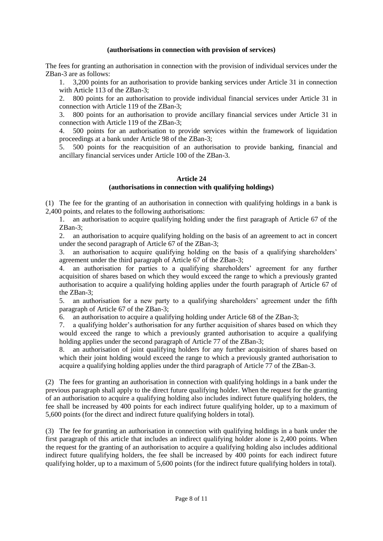### **(authorisations in connection with provision of services)**

The fees for granting an authorisation in connection with the provision of individual services under the ZBan-3 are as follows:

1. 3,200 points for an authorisation to provide banking services under Article 31 in connection with Article 113 of the ZBan-3:

2. 800 points for an authorisation to provide individual financial services under Article 31 in connection with Article 119 of the ZBan-3;

3. 800 points for an authorisation to provide ancillary financial services under Article 31 in connection with Article 119 of the ZBan-3;

4. 500 points for an authorisation to provide services within the framework of liquidation proceedings at a bank under Article 98 of the ZBan-3;

5. 500 points for the reacquisition of an authorisation to provide banking, financial and ancillary financial services under Article 100 of the ZBan-3.

#### **Article 24**

# **(authorisations in connection with qualifying holdings)**

(1) The fee for the granting of an authorisation in connection with qualifying holdings in a bank is 2,400 points, and relates to the following authorisations:

1. an authorisation to acquire qualifying holding under the first paragraph of Article 67 of the ZBan-3;

2. an authorisation to acquire qualifying holding on the basis of an agreement to act in concert under the second paragraph of Article 67 of the ZBan-3;

3. an authorisation to acquire qualifying holding on the basis of a qualifying shareholders' agreement under the third paragraph of Article 67 of the ZBan-3;

4. an authorisation for parties to a qualifying shareholders' agreement for any further acquisition of shares based on which they would exceed the range to which a previously granted authorisation to acquire a qualifying holding applies under the fourth paragraph of Article 67 of the ZBan-3;

5. an authorisation for a new party to a qualifying shareholders' agreement under the fifth paragraph of Article 67 of the ZBan-3;

6. an authorisation to acquire a qualifying holding under Article 68 of the ZBan-3;

7. a qualifying holder's authorisation for any further acquisition of shares based on which they would exceed the range to which a previously granted authorisation to acquire a qualifying holding applies under the second paragraph of Article 77 of the ZBan-3;

8. an authorisation of joint qualifying holders for any further acquisition of shares based on which their joint holding would exceed the range to which a previously granted authorisation to acquire a qualifying holding applies under the third paragraph of Article 77 of the ZBan-3.

(2) The fees for granting an authorisation in connection with qualifying holdings in a bank under the previous paragraph shall apply to the direct future qualifying holder. When the request for the granting of an authorisation to acquire a qualifying holding also includes indirect future qualifying holders, the fee shall be increased by 400 points for each indirect future qualifying holder, up to a maximum of 5,600 points (for the direct and indirect future qualifying holders in total).

(3) The fee for granting an authorisation in connection with qualifying holdings in a bank under the first paragraph of this article that includes an indirect qualifying holder alone is 2,400 points. When the request for the granting of an authorisation to acquire a qualifying holding also includes additional indirect future qualifying holders, the fee shall be increased by 400 points for each indirect future qualifying holder, up to a maximum of 5,600 points (for the indirect future qualifying holders in total).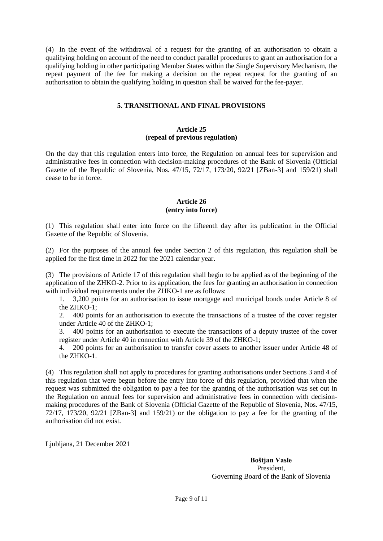(4) In the event of the withdrawal of a request for the granting of an authorisation to obtain a qualifying holding on account of the need to conduct parallel procedures to grant an authorisation for a qualifying holding in other participating Member States within the Single Supervisory Mechanism, the repeat payment of the fee for making a decision on the repeat request for the granting of an authorisation to obtain the qualifying holding in question shall be waived for the fee-payer.

# **5. TRANSITIONAL AND FINAL PROVISIONS**

# **Article 25 (repeal of previous regulation)**

On the day that this regulation enters into force, the Regulation on annual fees for supervision and administrative fees in connection with decision-making procedures of the Bank of Slovenia (Official Gazette of the Republic of Slovenia, Nos. 47/15, 72/17, 173/20, 92/21 [ZBan-3] and 159/21) shall cease to be in force.

# **Article 26 (entry into force)**

(1) This regulation shall enter into force on the fifteenth day after its publication in the Official Gazette of the Republic of Slovenia.

(2) For the purposes of the annual fee under Section 2 of this regulation, this regulation shall be applied for the first time in 2022 for the 2021 calendar year.

(3) The provisions of Article 17 of this regulation shall begin to be applied as of the beginning of the application of the ZHKO-2. Prior to its application, the fees for granting an authorisation in connection with individual requirements under the ZHKO-1 are as follows:

1. 3,200 points for an authorisation to issue mortgage and municipal bonds under Article 8 of the ZHKO-1;

2. 400 points for an authorisation to execute the transactions of a trustee of the cover register under Article 40 of the ZHKO-1;

3. 400 points for an authorisation to execute the transactions of a deputy trustee of the cover register under Article 40 in connection with Article 39 of the ZHKO-1;

4. 200 points for an authorisation to transfer cover assets to another issuer under Article 48 of the ZHKO-1.

(4) This regulation shall not apply to procedures for granting authorisations under Sections 3 and 4 of this regulation that were begun before the entry into force of this regulation, provided that when the request was submitted the obligation to pay a fee for the granting of the authorisation was set out in the Regulation on annual fees for supervision and administrative fees in connection with decisionmaking procedures of the Bank of Slovenia (Official Gazette of the Republic of Slovenia, Nos. 47/15,  $72/17$ ,  $173/20$ ,  $92/21$  [ZBan-3] and  $159/21$ ) or the obligation to pay a fee for the granting of the authorisation did not exist.

Ljubljana, 21 December 2021

**Boštjan Vasle**  President, Governing Board of the Bank of Slovenia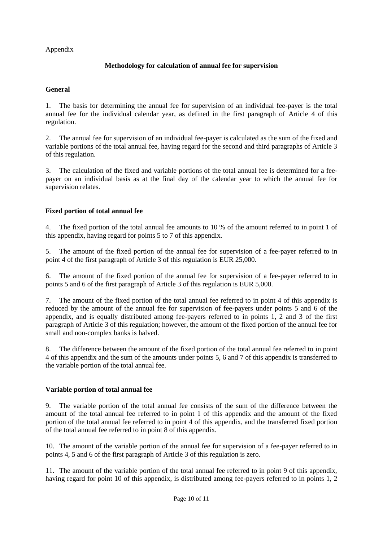Appendix

# **Methodology for calculation of annual fee for supervision**

# **General**

1. The basis for determining the annual fee for supervision of an individual fee-payer is the total annual fee for the individual calendar year, as defined in the first paragraph of Article 4 of this regulation.

2. The annual fee for supervision of an individual fee-payer is calculated as the sum of the fixed and variable portions of the total annual fee, having regard for the second and third paragraphs of Article 3 of this regulation.

3. The calculation of the fixed and variable portions of the total annual fee is determined for a feepayer on an individual basis as at the final day of the calendar year to which the annual fee for supervision relates.

# **Fixed portion of total annual fee**

4. The fixed portion of the total annual fee amounts to 10 % of the amount referred to in point 1 of this appendix, having regard for points 5 to 7 of this appendix.

5. The amount of the fixed portion of the annual fee for supervision of a fee-payer referred to in point 4 of the first paragraph of Article 3 of this regulation is EUR 25,000.

6. The amount of the fixed portion of the annual fee for supervision of a fee-payer referred to in points 5 and 6 of the first paragraph of Article 3 of this regulation is EUR 5,000.

7. The amount of the fixed portion of the total annual fee referred to in point 4 of this appendix is reduced by the amount of the annual fee for supervision of fee-payers under points 5 and 6 of the appendix, and is equally distributed among fee-payers referred to in points 1, 2 and 3 of the first paragraph of Article 3 of this regulation; however, the amount of the fixed portion of the annual fee for small and non-complex banks is halved.

8. The difference between the amount of the fixed portion of the total annual fee referred to in point 4 of this appendix and the sum of the amounts under points 5, 6 and 7 of this appendix is transferred to the variable portion of the total annual fee.

# **Variable portion of total annual fee**

9. The variable portion of the total annual fee consists of the sum of the difference between the amount of the total annual fee referred to in point 1 of this appendix and the amount of the fixed portion of the total annual fee referred to in point 4 of this appendix, and the transferred fixed portion of the total annual fee referred to in point 8 of this appendix.

10. The amount of the variable portion of the annual fee for supervision of a fee-payer referred to in points 4, 5 and 6 of the first paragraph of Article 3 of this regulation is zero.

11. The amount of the variable portion of the total annual fee referred to in point 9 of this appendix, having regard for point 10 of this appendix, is distributed among fee-payers referred to in points 1, 2